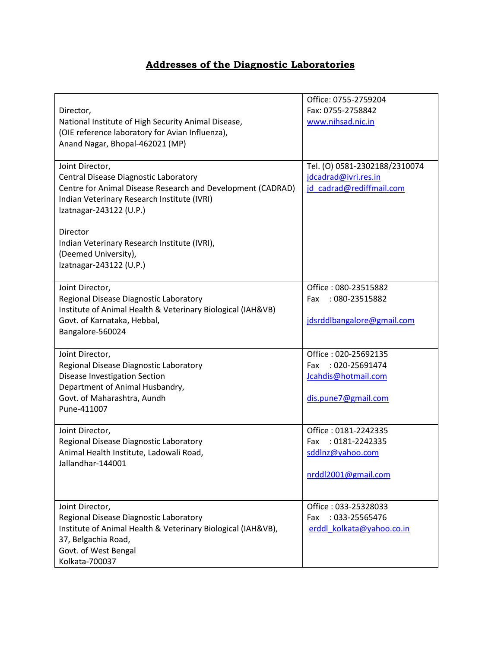## **Addresses of the Diagnostic Laboratories**

| Director,<br>National Institute of High Security Animal Disease,<br>(OIE reference laboratory for Avian Influenza),<br>Anand Nagar, Bhopal-462021 (MP)                                                                                                                                                           | Office: 0755-2759204<br>Fax: 0755-2758842<br>www.nihsad.nic.in                              |
|------------------------------------------------------------------------------------------------------------------------------------------------------------------------------------------------------------------------------------------------------------------------------------------------------------------|---------------------------------------------------------------------------------------------|
| Joint Director,<br>Central Disease Diagnostic Laboratory<br>Centre for Animal Disease Research and Development (CADRAD)<br>Indian Veterinary Research Institute (IVRI)<br>Izatnagar-243122 (U.P.)<br>Director<br>Indian Veterinary Research Institute (IVRI),<br>(Deemed University),<br>Izatnagar-243122 (U.P.) | Tel. (O) 0581-2302188/2310074<br>jdcadrad@ivri.res.in<br>jd cadrad@rediffmail.com           |
| Joint Director,<br>Regional Disease Diagnostic Laboratory<br>Institute of Animal Health & Veterinary Biological (IAH&VB)<br>Govt. of Karnataka, Hebbal,<br>Bangalore-560024                                                                                                                                      | Office: 080-23515882<br>: 080-23515882<br>Fax<br>jdsrddlbangalore@gmail.com                 |
| Joint Director,<br>Regional Disease Diagnostic Laboratory<br>Disease Investigation Section<br>Department of Animal Husbandry,<br>Govt. of Maharashtra, Aundh<br>Pune-411007                                                                                                                                      | Office: 020-25692135<br>: 020-25691474<br>Fax<br>Jcahdis@hotmail.com<br>dis.pune7@gmail.com |
| Joint Director,<br>Regional Disease Diagnostic Laboratory<br>Animal Health Institute, Ladowali Road,<br>Jallandhar-144001                                                                                                                                                                                        | Office: 0181-2242335<br>: 0181-2242335<br>Fax<br>sddlnz@yahoo.com<br>nrddl2001@gmail.com    |
| Joint Director,<br>Regional Disease Diagnostic Laboratory<br>Institute of Animal Health & Veterinary Biological (IAH&VB),<br>37, Belgachia Road,<br>Govt. of West Bengal<br>Kolkata-700037                                                                                                                       | Office: 033-25328033<br>: 033-25565476<br>Fax<br>erddl_kolkata@yahoo.co.in                  |